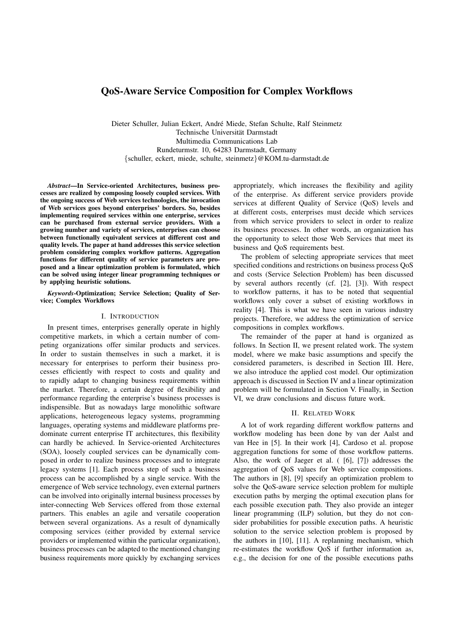# QoS-Aware Service Composition for Complex Workflows

Dieter Schuller, Julian Eckert, André Miede, Stefan Schulte, Ralf Steinmetz Technische Universität Darmstadt Multimedia Communications Lab Rundeturmstr. 10, 64283 Darmstadt, Germany {schuller, eckert, miede, schulte, steinmetz}@KOM.tu-darmstadt.de

*Abstract*—In Service-oriented Architectures, business processes are realized by composing loosely coupled services. With the ongoing success of Web services technologies, the invocation of Web services goes beyond enterprises' borders. So, besides implementing required services within one enterprise, services can be purchased from external service providers. With a growing number and variety of services, enterprises can choose between functionally equivalent services at different cost and quality levels. The paper at hand addresses this service selection problem considering complex workflow patterns. Aggregation functions for different quality of service parameters are proposed and a linear optimization problem is formulated, which can be solved using integer linear programming techniques or by applying heuristic solutions.

*Keywords*-Optimization; Service Selection; Quality of Service; Complex Workflows

# I. INTRODUCTION

In present times, enterprises generally operate in highly competitive markets, in which a certain number of competing organizations offer similar products and services. In order to sustain themselves in such a market, it is necessary for enterprises to perform their business processes efficiently with respect to costs and quality and to rapidly adapt to changing business requirements within the market. Therefore, a certain degree of flexibility and performance regarding the enterprise's business processes is indispensible. But as nowadays large monolithic software applications, heterogeneous legacy systems, programming languages, operating systems and middleware platforms predominate current enterprise IT architectures, this flexibility can hardly be achieved. In Service-oriented Architectures (SOA), loosely coupled services can be dynamically composed in order to realize business processes and to integrate legacy systems [1]. Each process step of such a business process can be accomplished by a single service. With the emergence of Web service technology, even external partners can be involved into originally internal business processes by inter-connecting Web Services offered from those external partners. This enables an agile and versatile cooperation between several organizations. As a result of dynamically composing services (either provided by external service providers or implemented within the particular organization), business processes can be adapted to the mentioned changing business requirements more quickly by exchanging services appropriately, which increases the flexibility and agility of the enterprise. As different service providers provide services at different Quality of Service (QoS) levels and at different costs, enterprises must decide which services from which service providers to select in order to realize its business processes. In other words, an organization has the opportunity to select those Web Services that meet its business and QoS requirements best.

The problem of selecting appropriate services that meet specified conditions and restrictions on business process QoS and costs (Service Selection Problem) has been discussed by several authors recently (cf. [2], [3]). With respect to workflow patterns, it has to be noted that sequential workflows only cover a subset of existing workflows in reality [4]. This is what we have seen in various industry projects. Therefore, we address the optimization of service compositions in complex workflows.

The remainder of the paper at hand is organized as follows. In Section II, we present related work. The system model, where we make basic assumptions and specify the considered parameters, is described in Section III. Here, we also introduce the applied cost model. Our optimization approach is discussed in Section IV and a linear optimization problem will be formulated in Section V. Finally, in Section VI, we draw conclusions and discuss future work.

## II. RELATED WORK

A lot of work regarding different workflow patterns and workflow modeling has been done by van der Aalst and van Hee in [5]. In their work [4], Cardoso et al. propose aggregation functions for some of those workflow patterns. Also, the work of Jaeger et al. ( [6], [7]) addresses the aggregation of QoS values for Web service compositions. The authors in [8], [9] specify an optimization problem to solve the QoS-aware service selection problem for multiple execution paths by merging the optimal execution plans for each possible execution path. They also provide an integer linear programming (ILP) solution, but they do not consider probabilities for possible execution paths. A heuristic solution to the service selection problem is proposed by the authors in [10], [11]. A replanning mechanism, which re-estimates the workflow QoS if further information as, e.g., the decision for one of the possible executions paths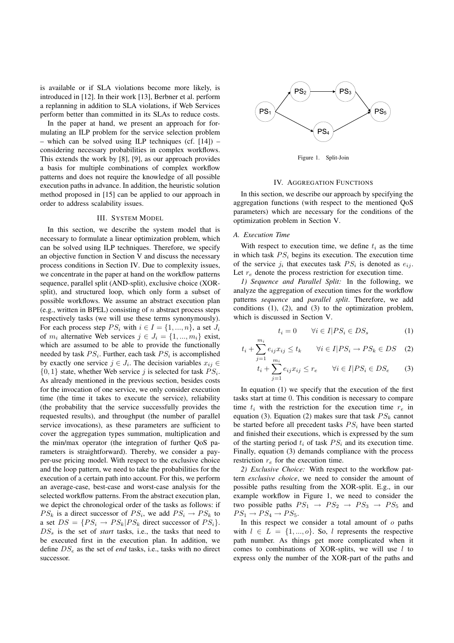is available or if SLA violations become more likely, is introduced in [12]. In their work [13], Berbner et al. perform a replanning in addition to SLA violations, if Web Services perform better than committed in its SLAs to reduce costs.

In the paper at hand, we present an approach for formulating an ILP problem for the service selection problem – which can be solved using ILP techniques (cf.  $[14]$ ) – considering necessary probabilities in complex workflows. This extends the work by [8], [9], as our approach provides a basis for multiple combinations of complex workflow patterns and does not require the knowledge of all possible execution paths in advance. In addition, the heuristic solution method proposed in [15] can be applied to our approach in order to address scalability issues.

#### III. SYSTEM MODEL

In this section, we describe the system model that is necessary to formulate a linear optimization problem, which can be solved using ILP techniques. Therefore, we specify an objective function in Section V and discuss the necessary process conditions in Section IV. Due to complexity issues, we concentrate in the paper at hand on the workflow patterns sequence, parallel split (AND-split), exclusive choice (XORsplit), and structured loop, which only form a subset of possible workflows. We assume an abstract execution plan (e.g., written in BPEL) consisting of  $n$  abstract process steps respectively tasks (we will use these terms synonymously). For each process step  $PS_i$  with  $i \in I = \{1, ..., n\}$ , a set  $J_i$ of  $m_i$  alternative Web services  $j \in J_i = \{1, ..., m_i\}$  exist, which are assumed to be able to provide the functionally needed by task  $PS_i$ . Further, each task  $PS_i$  is accomplished by exactly one service  $j \in J_i$ . The decision variables  $x_{ij} \in$  $\{0, 1\}$  state, whether Web service j is selected for task  $PS_i$ . As already mentioned in the previous section, besides costs for the invocation of one service, we only consider execution time (the time it takes to execute the service), reliability (the probability that the service successfully provides the requested results), and throughput (the number of parallel service invocations), as these parameters are sufficient to cover the aggregation types summation, multiplication and the min/max operator (the integration of further QoS parameters is straightforward). Thereby, we consider a payper-use pricing model. With respect to the exclusive choice and the loop pattern, we need to take the probabilities for the execution of a certain path into account. For this, we perform an average-case, best-case and worst-case analysis for the selected workflow patterns. From the abstract execution plan, we depict the chronological order of the tasks as follows: if  $PS_k$  is a direct successor of  $PS_i$ , we add  $PS_i \rightarrow PS_k$  to a set  $DS = \{PS_i \rightarrow PS_k | PS_k$  direct successor of  $PS_i$ . DS<sub>s</sub> is the set of *start* tasks, i.e., the tasks that need to be executed first in the execution plan. In addition, we define  $DS_e$  as the set of *end* tasks, i.e., tasks with no direct successor.



Figure 1. Split-Join

#### IV. AGGREGATION FUNCTIONS

In this section, we describe our approach by specifying the aggregation functions (with respect to the mentioned QoS parameters) which are necessary for the conditions of the optimization problem in Section V.

#### *A. Execution Time*

m<sup>i</sup>

With respect to execution time, we define  $t_i$  as the time in which task  $PS_i$  begins its execution. The execution time of the service  $j_i$  that executes task  $PS_i$  is denoted as  $e_{ij}$ . Let  $r_e$  denote the process restriction for execution time.

*1) Sequence and Parallel Split:* In the following, we analyze the aggregation of execution times for the workflow patterns *sequence* and *parallel split*. Therefore, we add conditions (1), (2), and (3) to the optimization problem, which is discussed in Section V.

$$
t_i = 0 \qquad \forall i \in I | PS_i \in DS_s \tag{1}
$$

$$
t_i + \sum_{j=1}^{m} e_{ij} x_{ij} \le t_k \qquad \forall i \in I | PS_i \rightarrow PS_k \in DS \quad (2)
$$

$$
j=1 \t m_i
$$
  

$$
t_i + \sum_{j=1}^{m_i} e_{ij} x_{ij} \le r_e \t \forall i \in I | PS_i \in DS_e \t (3)
$$

In equation (1) we specify that the execution of the first tasks start at time 0. This condition is necessary to compare time  $t_i$  with the restriction for the execution time  $r_e$  in equation (3). Equation (2) makes sure that task  $PS_k$  cannot be started before all precedent tasks  $PS_i$  have been started and finished their executions, which is expressed by the sum of the starting period  $t_i$  of task  $PS_i$  and its execution time. Finally, equation (3) demands compliance with the process restriction  $r_e$  for the execution time.

*2) Exclusive Choice:* With respect to the workflow pattern *exclusive choice*, we need to consider the amount of possible paths resulting from the XOR-split. E.g., in our example workflow in Figure 1, we need to consider the two possible paths  $PS_1 \rightarrow PS_2 \rightarrow PS_3 \rightarrow PS_5$  and  $PS_1 \rightarrow PS_4 \rightarrow PS_5.$ 

In this respect we consider a total amount of  $\sigma$  paths with  $l \in L = \{1, ..., o\}$ . So, l represents the respective path number. As things get more complicated when it comes to combinations of XOR-splits, we will use  $l$  to express only the number of the XOR-part of the paths and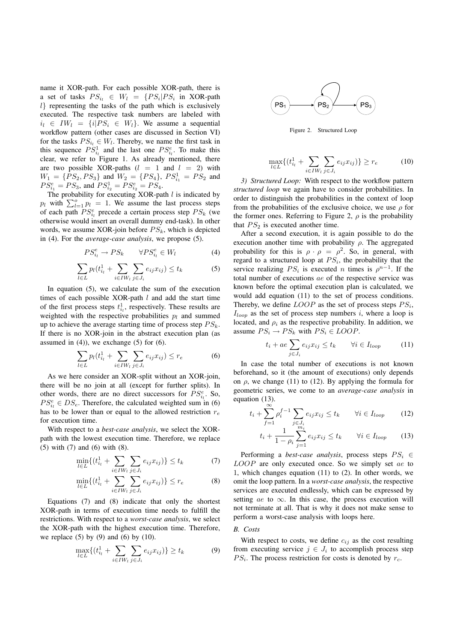name it XOR-path. For each possible XOR-path, there is a set of tasks  $PS_{i_l} \in W_l = \{PS_i | PS_i$  in XOR-path  $l$ } representing the tasks of the path which is exclusively executed. The respective task numbers are labeled with  $i_l \in IW_l = \{i | PS_i \in W_l\}$ . We assume a sequential workflow pattern (other cases are discussed in Section VI) for the tasks  $PS_{i_l} \in W_l$ . Thereby, we name the first task in this sequence  $PS_{i_l}^1$  and the last one  $PS_{i_l}^e$ . To make this clear, we refer to Figure 1. As already mentioned, there are two possible XOR-paths  $(l = 1 \text{ and } l = 2)$  with  $W_1 = \{PS_2, PS_3\}$  and  $W_2 = \{PS_4\}$ ,  $PS_{i_1}^1 = PS_2$  and  $PS_{i_1}^e = PS_3$ , and  $PS_{i_2}^1 = PS_{i_2}^e = PS_4$ .

The probability for executing XOR-path  $l$  is indicated by  $p_l$  with  $\sum_{l=1}^{\infty} p_l = 1$ . We assume the last process steps of each path  $PS_{i_l}^e$  precede a certain process step  $PS_k$  (we otherwise would insert an overall dummy end-task). In other words, we assume XOR-join before  $PS_k$ , which is depicted in (4). For the *average-case analysis*, we propose (5).

$$
PS_{i_l}^e \to PS_k \qquad \forall PS_{i_l}^e \in W_l \tag{4}
$$

$$
\sum_{l \in L} p_l(t_{i_l}^1 + \sum_{i \in IW_l} \sum_{j \in J_i} e_{ij} x_{ij}) \le t_k
$$
 (5)

In equation (5), we calculate the sum of the execution times of each possible XOR-path  $l$  and add the start time of the first process steps  $t_{i_l}^1$ , respectively. These results are weighted with the respective probabilities  $p_l$  and summed up to achieve the average starting time of process step  $PS_k$ . If there is no XOR-join in the abstract execution plan (as assumed in  $(4)$ , we exchange  $(5)$  for  $(6)$ .

$$
\sum_{l \in L} p_l(t_{i_l}^1 + \sum_{i \in IW_l} \sum_{j \in J_i} e_{ij} x_{ij}) \le r_e \tag{6}
$$

As we here consider an XOR-split without an XOR-join, there will be no join at all (except for further splits). In other words, there are no direct successors for  $PS_{i_l}^e$ . So,  $PS_{i_l}^e \in DS_e$ . Therefore, the calculated weighted sum in (6) has to be lower than or equal to the allowed restriction  $r_e$ for execution time.

With respect to a *best-case analysis*, we select the XORpath with the lowest execution time. Therefore, we replace (5) with (7) and (6) with (8).

$$
\min_{l \in L} \{ (t_{i_l}^1 + \sum_{i \in IV_l} \sum_{j \in J_i} e_{ij} x_{ij}) \} \le t_k \tag{7}
$$

$$
\min_{l \in L} \{ (t_{i_l}^1 + \sum_{i \in IW_l} \sum_{j \in J_i} e_{ij} x_{ij}) \} \le r_e
$$
 (8)

Equations (7) and (8) indicate that only the shortest XOR-path in terms of execution time needs to fulfill the restrictions. With respect to a *worst-case analysis*, we select the XOR-path with the highest execution time. Therefore, we replace  $(5)$  by  $(9)$  and  $(6)$  by  $(10)$ .

$$
\max_{l \in L} \{ (t_{i_l}^1 + \sum_{i \in IW_l} \sum_{j \in J_i} e_{ij} x_{ij}) \} \ge t_k
$$
\n(9)



Figure 2. Structured Loop

$$
\max_{l \in L} \{ (t_{i_l}^1 + \sum_{i \in IW_l} \sum_{j \in J_i} e_{ij} x_{ij}) \} \ge r_e
$$
 (10)

*3) Structured Loop:* With respect to the workflow pattern *structured loop* we again have to consider probabilities. In order to distinguish the probabilities in the context of loop from the probabilities of the exclusive choice, we use  $\rho$  for the former ones. Referring to Figure 2,  $\rho$  is the probability that  $PS_2$  is executed another time.

After a second execution, it is again possible to do the execution another time with probability  $\rho$ . The aggregated probability for this is  $\rho \cdot \rho = \rho^2$ . So, in general, with regard to a structured loop at  $PS_i$ , the probability that the service realizing  $PS_i$  is executed n times is  $\rho^{n-1}$ . If the total number of executions ae of the respective service was known before the optimal execution plan is calculated, we would add equation (11) to the set of process conditions. Thereby, we define  $LOOP$  as the set of process steps  $PS_i$ ,  $I_{loop}$  as the set of process step numbers i, where a loop is located, and  $\rho_i$  as the respective probability. In addition, we assume  $PS_i \to PS_k$  with  $PS_i \in LOOP$ .

$$
t_i + ae \sum_{j \in J_i} e_{ij} x_{ij} \le t_k \qquad \forall i \in I_{loop} \tag{11}
$$

In case the total number of executions is not known beforehand, so it (the amount of executions) only depends on  $\rho$ , we change (11) to (12). By applying the formula for geometric series, we come to an *average-case analysis* in equation (13).

$$
t_i + \sum_{f=1}^{\infty} \rho_i^{f-1} \sum_{\substack{j \in J_i \\ m_i}} e_{ij} x_{ij} \le t_k \qquad \forall i \in I_{loop} \tag{12}
$$

$$
t_i + \frac{1}{1 - \rho_i} \sum_{j=1}^{m_i} e_{ij} x_{ij} \le t_k \qquad \forall i \in I_{loop} \tag{13}
$$

Performing a *best-case analysis*, process steps  $PS_i \in$ LOOP are only executed once. So we simply set ae to 1, which changes equation (11) to (2). In other words, we omit the loop pattern. In a *worst-case analysis*, the respective services are executed endlessly, which can be expressed by setting ae to  $\infty$ . In this case, the process execution will not terminate at all. That is why it does not make sense to perform a worst-case analysis with loops here.

## *B. Costs*

With respect to costs, we define  $c_{ij}$  as the cost resulting from executing service  $j \in J_i$  to accomplish process step  $PS_i$ . The process restriction for costs is denoted by  $r_c$ .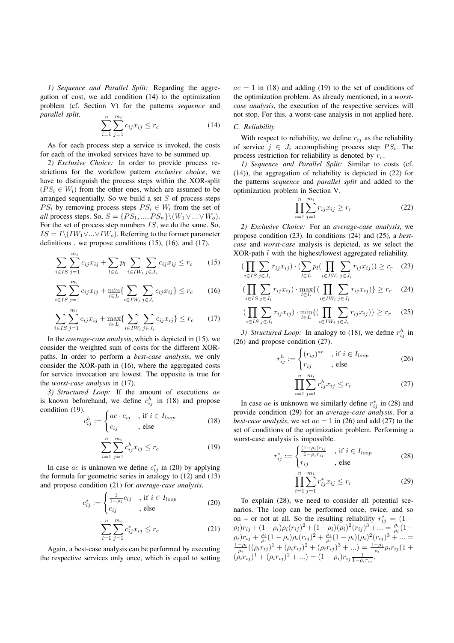*1) Sequence and Parallel Split:* Regarding the aggregation of cost, we add condition (14) to the optimization problem (cf. Section V) for the patterns *sequence* and *parallel split*. n  $m_i$ 

$$
\sum_{i=1}^{n} \sum_{j=1}^{m_i} c_{ij} x_{ij} \le r_c \tag{14}
$$

As for each process step a service is invoked, the costs for each of the invoked services have to be summed up.

*2) Exclusive Choice:* In order to provide process restrictions for the workflow pattern *exclusive choice*, we have to distinguish the process steps within the XOR-split  $(PS_i \in W_l)$  from the other ones, which are assumed to be arranged sequentially. So we build a set  $S$  of process steps  $PS_i$  by removing process steps  $PS_i \in W_l$  from the set of *all* process steps. So,  $S = \{PS_1, ..., PS_n\} \setminus (W_1 \vee ... \vee W_o)$ . For the set of process step numbers  $IS$ , we do the same. So,  $IS = I \setminus (IW_1 \vee ... \vee IW_o)$ . Referring to the former parameter definitions , we propose conditions (15), (16), and (17).

$$
\sum_{i \in IS} \sum_{j=1}^{m_i} c_{ij} x_{ij} + \sum_{l \in L} p_l \sum_{i \in IW_l} \sum_{j \in J_i} c_{ij} x_{ij} \le r_c \qquad (15)
$$

$$
\sum_{i \in IS} \sum_{j=1}^{m_i} c_{ij} x_{ij} + \min_{l \in L} \{ \sum_{i \in IW_l} \sum_{j \in J_i} c_{ij} x_{ij} \} \le r_c \qquad (16)
$$

$$
\sum_{i \in IS} \sum_{j=1}^{m_i} c_{ij} x_{ij} + \max_{l \in L} \{ \sum_{i \in IW_l} \sum_{j \in J_i} c_{ij} x_{ij} \} \le r_c \qquad (17)
$$

In the *average-case analysis*, which is depicted in (15), we consider the weighted sum of costs for the different XORpaths. In order to perform a *best-case analysis*, we only consider the XOR-path in (16), where the aggregated costs for service invocation are lowest. The opposite is true for the *worst-case analysis* in (17).

*3) Structured Loop:* If the amount of executions ae is known beforehand, we define  $c_{ij}^h$  in (18) and propose condition (19).

$$
c_{ij}^h := \begin{cases} ae \cdot c_{ij} & , \text{ if } i \in I_{loop} \\ c_{ij} & , \text{ else} \end{cases}
$$
 (18)

$$
\sum_{i=1}^{n} \sum_{j=1}^{m_i} c_{ij}^h x_{ij} \le r_c
$$
 (19)

In case ae is unknown we define  $c_{ij}^*$  in (20) by applying the formula for geometric series in analogy to (12) and (13) and propose condition (21) for *average-case analysis*.

$$
c_{ij}^* := \begin{cases} \frac{1}{1 - \rho_i} c_{ij} & , \text{ if } i \in I_{loop} \\ c_{ij} & , \text{ else} \end{cases}
$$
 (20)

$$
\sum_{i=1}^{n} \sum_{j=1}^{m_i} c_{ij}^* x_{ij} \le r_c
$$
 (21)

Again, a best-case analysis can be performed by executing the respective services only once, which is equal to setting  $ae = 1$  in (18) and adding (19) to the set of conditions of the optimization problem. As already mentioned, in a *worstcase analysis*, the execution of the respective services will not stop. For this, a worst-case analysis in not applied here.

## *C. Reliability*

With respect to reliability, we define  $r_{ij}$  as the reliability of service  $j \in J_i$  accomplishing process step  $PS_i$ . The process restriction for reliability is denoted by  $r_r$ .

*1) Sequence and Parallel Split:* Similar to costs (cf. (14)), the aggregation of reliability is depicted in (22) for the patterns *sequence* and *parallel split* and added to the optimization problem in Section V.

$$
\prod_{i=1}^{n} \sum_{j=1}^{m_i} r_{ij} x_{ij} \ge r_r
$$
\n(22)

*2) Exclusive Choice:* For an *average-case analysis*, we propose condition (23). In conditions (24) and (25), a *bestcase* and *worst-case* analysis is depicted, as we select the XOR-path l with the highest/lowest aggregated reliability.

$$
\left(\prod_{i \in IS} \sum_{j \in J_i} r_{ij} x_{ij}\right) \cdot \left(\sum_{l \in L} p_l \left(\prod_{i \in IW_l} \sum_{j \in J_i} r_{ij} x_{ij}\right)\right) \ge r_r \quad (23)
$$

$$
\left(\prod_{i \in IS} \sum_{j \in J_i} r_{ij} x_{ij}\right) \cdot \max_{l \in L} \left\{ \left(\prod_{i \in IV_l} \sum_{j \in J_i} r_{ij} x_{ij}\right)\right\} \ge r_r \tag{24}
$$

$$
\left(\prod_{i \in IS} \sum_{j \in J_i} r_{ij} x_{ij}\right) \cdot \min_{l \in L} \left\{ \left(\prod_{i \in IV_l} \sum_{j \in J_i} r_{ij} x_{ij}\right)\right\} \ge r_r \tag{25}
$$

3) Structured Loop: In analogy to (18), we define  $r_{ij}^h$  in (26) and propose condition (27).

$$
r_{ij}^h := \begin{cases} (r_{ij})^{ae} & , \text{ if } i \in I_{loop} \\ r_{ij} & , \text{ else} \end{cases}
$$
 (26)

$$
\prod_{i=1}^{n} \sum_{j=1}^{m_i} r_{ij}^h x_{ij} \le r_r
$$
 (27)

In case ae is unknown we similarly define  $r_{ij}^*$  in (28) and provide condition (29) for an *average-case analysis*. For a *best-case analysis*, we set  $ae = 1$  in (26) and add (27) to the set of conditions of the optimization problem. Performing a worst-case analysis is impossible.

$$
r_{ij}^* := \begin{cases} \frac{(1-\rho_i)r_{ij}}{1-\rho_i r_{ij}} & , \text{if } i \in I_{loop} \\ r_{ij} & , \text{else} \end{cases}
$$
 (28)

$$
\prod_{i=1}^{n} \sum_{j=1}^{m_i} r_{ij}^* x_{ij} \le r_r
$$
 (29)

To explain (28), we need to consider all potential scenarios. The loop can be performed once, twice, and so on – or not at all. So the resulting reliability  $r_{ij}^* = (1 \rho_i)r_{ij} + (1-\rho_i)\rho_i(r_{ij})^2 + (1-\rho_i)(\rho_i)^2(r_{ij})^3 + ... = \frac{\rho_i}{\rho_i}(1-\rho_i)^2$  $(\rho_i) r_{ij} + \frac{\rho_i}{\rho_i} (1-\rho_i) \rho_i(r_{ij})^2 + \frac{\rho_i}{\rho_i} (1-\rho_i) (\rho_i)^2 (r_{ij})^3 + ... =$  $\frac{1-\rho_i}{\rho_i}((\rho_i r_{ij})^1 + (\rho_i r_{ij})^2 + (\rho_i r_{ij})^3 + ...) = \frac{1-\rho_i}{\rho_i} \rho_i r_{ij} (1 +$  $(\rho_i^{r_i}r_{ij})^1 + (\rho_i r_{ij})^2 + ...$ ) =  $(1 - \rho_i)r_{ij} \frac{1}{1 - \rho_i r_{ij}}$ .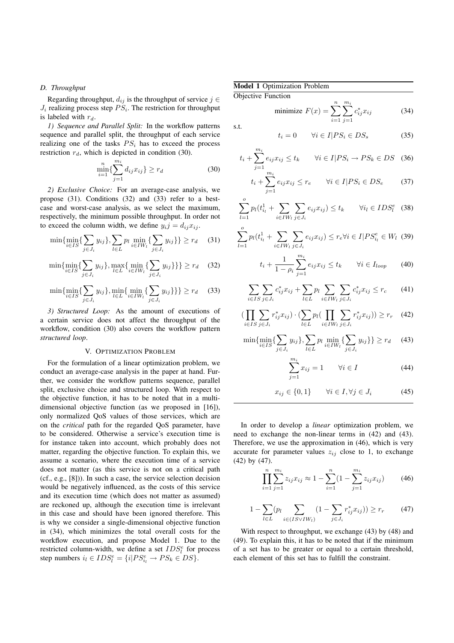# *D. Throughput*

Regarding throughput,  $d_{ij}$  is the throughput of service  $j \in$  $J_i$  realizing process step  $PS_i$ . The restriction for throughput is labeled with  $r_d$ .

*1) Sequence and Parallel Split:* In the workflow patterns sequence and parallel split, the throughput of each service realizing one of the tasks  $PS_i$  has to exceed the process restriction  $r_d$ , which is depicted in condition (30).

$$
\min_{i=1}^{n} \{ \sum_{j=1}^{m_i} d_{ij} x_{ij} \} \ge r_d
$$
\n(30)

*2) Exclusive Choice:* For an average-case analysis, we propose (31). Conditions (32) and (33) refer to a bestcase and worst-case analysis, as we select the maximum, respectively, the minimum possible throughput. In order not to exceed the column width, we define  $y_{ij} = d_{ij}x_{ij}$ .

$$
\min\{\min_{i \in IS}\{\sum_{j \in J_i} y_{ij}\}, \sum_{l \in L} p_l \min_{i \in IW_l}\{\sum_{j \in J_i} y_{ij}\}\} \ge r_d \quad (31)
$$

$$
\min\{\min_{i\in IS}\{\sum_{j\in J_i} y_{ij}\}, \max_{l\in L}\{\min_{i\in IW_l}\{\sum_{j\in J_i} y_{ij}\}\}\} \ge r_d \quad (32)
$$

$$
\min\{\min_{i\in IS}\{\sum_{j\in J_i}y_{ij}\},\min_{l\in L}\{\min_{i\in IW_l}\{\sum_{j\in J_i}y_{ij}\}\}\}\geq r_d\quad(33)
$$

*3) Structured Loop:* As the amount of executions of a certain service does not affect the throughput of the workflow, condition (30) also covers the workflow pattern *structured loop*.

# V. OPTIMIZATION PROBLEM

For the formulation of a linear optimization problem, we conduct an average-case analysis in the paper at hand. Further, we consider the workflow patterns sequence, parallel split, exclusive choice and structured loop. With respect to the objective function, it has to be noted that in a multidimensional objective function (as we proposed in [16]), only normalized QoS values of those services, which are on the *critical* path for the regarded QoS parameter, have to be considered. Otherwise a service's execution time is for instance taken into account, which probably does not matter, regarding the objective function. To explain this, we assume a scenario, where the execution time of a service does not matter (as this service is not on a critical path (cf., e.g., [8])). In such a case, the service selection decision would be negatively influenced, as the costs of this service and its execution time (which does not matter as assumed) are reckoned up, although the execution time is irrelevant in this case and should have been ignored therefore. This is why we consider a single-dimensional objective function in (34), which minimizes the total overall costs for the workflow execution, and propose Model 1. Due to the restricted column-width, we define a set  $IDS<sub>l</sub><sup>e</sup>$  for process step numbers  $i_l \in IDE_l^e = \{i | PS_{i_l}^e \rightarrow PS_k \in DS\}$ .

| <b>Model 1 Optimization Problem</b> |                                     |                                                                               |      |
|-------------------------------------|-------------------------------------|-------------------------------------------------------------------------------|------|
|                                     |                                     |                                                                               |      |
| Objective Function                  |                                     |                                                                               |      |
|                                     |                                     | $m_i$<br>$\, n$<br>minimize $F(x) = \sum \sum c_{ij}^* x_{ij}$<br>$i=1$ $i=1$ | (34) |
| s.t.                                |                                     | $t_i = 0 \qquad \forall i \in I   PS_i \in DS_s$                              | (35) |
| $m_i$                               | $t_i + \sum e_{ij} x_{ij} \leq t_k$ | $\forall i \in I   PS_i \rightarrow PS_k \in DS$ (36)                         |      |

$$
t_i + \sum_{j=1}^{m_i} e_{ij} x_{ij} \le r_e \qquad \forall i \in I | PS_i \in DS_e \qquad (37)
$$

$$
\sum_{l=1}^{o} p_l(t_{i_l}^1 + \sum_{i \in IW_l} \sum_{j \in J_i} e_{ij} x_{ij}) \le t_k \qquad \forall i_l \in IDs_l^e \quad (38)
$$

$$
\sum_{l=1}^{o} p_l(t_{i_l}^1 + \sum_{i \in IW_l} \sum_{j \in J_i} e_{ij} x_{ij}) \le r_e \forall i \in I | PS_{i_l}^e \in W_l \tag{39}
$$

$$
t_i + \frac{1}{1 - \rho_i} \sum_{j=1}^{m_i} e_{ij} x_{ij} \le t_k \qquad \forall i \in I_{loop} \tag{40}
$$

$$
\sum_{i \in IS} \sum_{j \in J_i} c_{ij}^* x_{ij} + \sum_{l \in L} p_l \sum_{i \in IV_l} \sum_{j \in J_i} c_{ij}^* x_{ij} \le r_c \qquad (41)
$$

$$
\left(\prod_{i \in IS} \sum_{j \in J_i} r_{ij}^* x_{ij}\right) \cdot \left(\sum_{l \in L} p_l \left(\prod_{i \in IW_l} \sum_{j \in J_i} r_{ij}^* x_{ij}\right)\right) \ge r_r \quad (42)
$$

$$
\min\{\min_{i \in IS} \{\sum_{j \in J_i} y_{ij}\}, \sum_{l \in L} p_l \min_{i \in IW_l} \{\sum_{j \in J_i} y_{ij}\}\} \ge r_d \quad (43)
$$

$$
\sum_{j=1}^{m_i} x_{ij} = 1 \qquad \forall i \in I \tag{44}
$$

$$
x_{ij} \in \{0, 1\} \qquad \forall i \in I, \forall j \in J_i \tag{45}
$$

In order to develop a *linear* optimization problem, we need to exchange the non-linear terms in (42) and (43). Therefore, we use the approximation in (46), which is very accurate for parameter values  $z_{ij}$  close to 1, to exchange (42) by (47).

$$
\prod_{i=1}^{n} \sum_{j=1}^{m_i} z_{ij} x_{ij} \approx 1 - \sum_{i=1}^{n} (1 - \sum_{j=1}^{m_i} z_{ij} x_{ij})
$$
 (46)

$$
1 - \sum_{l \in L} (p_l \sum_{i \in (IS \vee IW_l)} (1 - \sum_{j \in J_i} r_{ij}^* x_{ij})) \ge r_r
$$
 (47)

With respect to throughput, we exchange (43) by (48) and (49). To explain this, it has to be noted that if the minimum of a set has to be greater or equal to a certain threshold, each element of this set has to fulfill the constraint.